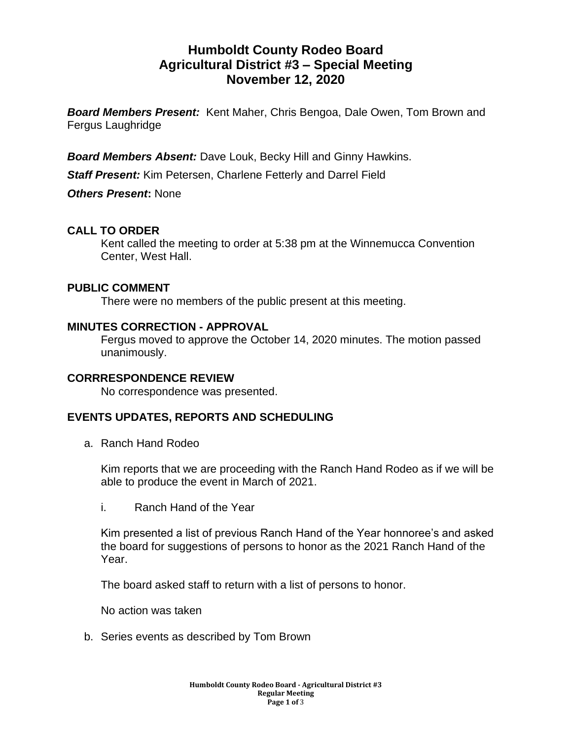# **Humboldt County Rodeo Board Agricultural District #3 – Special Meeting November 12, 2020**

*Board Members Present:* Kent Maher, Chris Bengoa, Dale Owen, Tom Brown and Fergus Laughridge

*Board Members Absent:* Dave Louk, Becky Hill and Ginny Hawkins.

*Staff Present:* Kim Petersen, Charlene Fetterly and Darrel Field

*Others Present***:** None

# **CALL TO ORDER**

Kent called the meeting to order at 5:38 pm at the Winnemucca Convention Center, West Hall.

#### **PUBLIC COMMENT**

There were no members of the public present at this meeting.

#### **MINUTES CORRECTION - APPROVAL**

Fergus moved to approve the October 14, 2020 minutes. The motion passed unanimously.

#### **CORRRESPONDENCE REVIEW**

No correspondence was presented.

### **EVENTS UPDATES, REPORTS AND SCHEDULING**

a. Ranch Hand Rodeo

Kim reports that we are proceeding with the Ranch Hand Rodeo as if we will be able to produce the event in March of 2021.

i. Ranch Hand of the Year

Kim presented a list of previous Ranch Hand of the Year honnoree's and asked the board for suggestions of persons to honor as the 2021 Ranch Hand of the Year.

The board asked staff to return with a list of persons to honor.

No action was taken

b. Series events as described by Tom Brown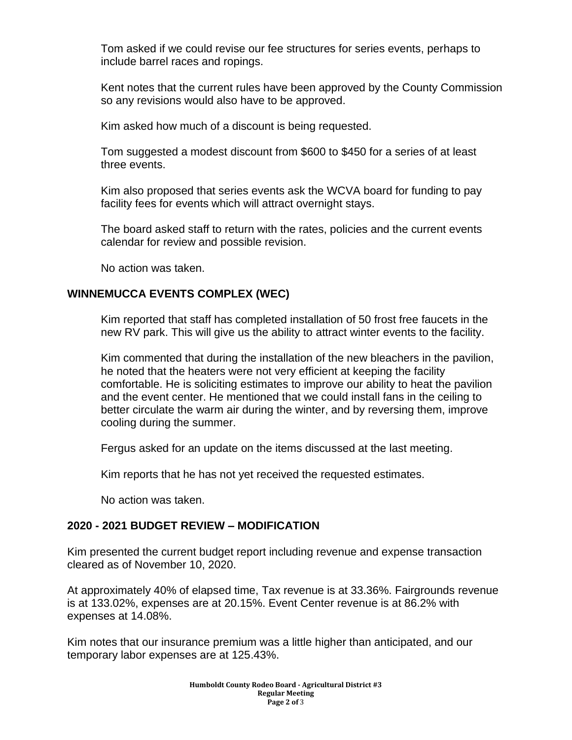Tom asked if we could revise our fee structures for series events, perhaps to include barrel races and ropings.

Kent notes that the current rules have been approved by the County Commission so any revisions would also have to be approved.

Kim asked how much of a discount is being requested.

Tom suggested a modest discount from \$600 to \$450 for a series of at least three events.

Kim also proposed that series events ask the WCVA board for funding to pay facility fees for events which will attract overnight stays.

The board asked staff to return with the rates, policies and the current events calendar for review and possible revision.

No action was taken.

### **WINNEMUCCA EVENTS COMPLEX (WEC)**

Kim reported that staff has completed installation of 50 frost free faucets in the new RV park. This will give us the ability to attract winter events to the facility.

Kim commented that during the installation of the new bleachers in the pavilion, he noted that the heaters were not very efficient at keeping the facility comfortable. He is soliciting estimates to improve our ability to heat the pavilion and the event center. He mentioned that we could install fans in the ceiling to better circulate the warm air during the winter, and by reversing them, improve cooling during the summer.

Fergus asked for an update on the items discussed at the last meeting.

Kim reports that he has not yet received the requested estimates.

No action was taken.

### **2020 - 2021 BUDGET REVIEW – MODIFICATION**

Kim presented the current budget report including revenue and expense transaction cleared as of November 10, 2020.

At approximately 40% of elapsed time, Tax revenue is at 33.36%. Fairgrounds revenue is at 133.02%, expenses are at 20.15%. Event Center revenue is at 86.2% with expenses at 14.08%.

Kim notes that our insurance premium was a little higher than anticipated, and our temporary labor expenses are at 125.43%.

> **Humboldt County Rodeo Board - Agricultural District #3 Regular Meeting Page 2 of** 3